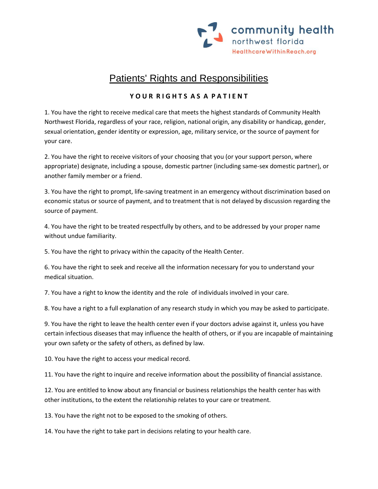

## Patients' Rights and Responsibilities

## **Y O U R R I G H T S A S A P A T I E N T**

1. You have the right to receive medical care that meets the highest standards of Community Health Northwest Florida, regardless of your race, religion, national origin, any disability or handicap, gender, sexual orientation, gender identity or expression, age, military service, or the source of payment for your care.

2. You have the right to receive visitors of your choosing that you (or your support person, where appropriate) designate, including a spouse, domestic partner (including same-sex domestic partner), or another family member or a friend.

3. You have the right to prompt, life-saving treatment in an emergency without discrimination based on economic status or source of payment, and to treatment that is not delayed by discussion regarding the source of payment.

4. You have the right to be treated respectfully by others, and to be addressed by your proper name without undue familiarity.

5. You have the right to privacy within the capacity of the Health Center.

6. You have the right to seek and receive all the information necessary for you to understand your medical situation.

7. You have a right to know the identity and the role of individuals involved in your care.

8. You have a right to a full explanation of any research study in which you may be asked to participate.

9. You have the right to leave the health center even if your doctors advise against it, unless you have certain infectious diseases that may influence the health of others, or if you are incapable of maintaining your own safety or the safety of others, as defined by law.

10. You have the right to access your medical record.

11. You have the right to inquire and receive information about the possibility of financial assistance.

12. You are entitled to know about any financial or business relationships the health center has with other institutions, to the extent the relationship relates to your care or treatment.

13. You have the right not to be exposed to the smoking of others.

14. You have the right to take part in decisions relating to your health care.